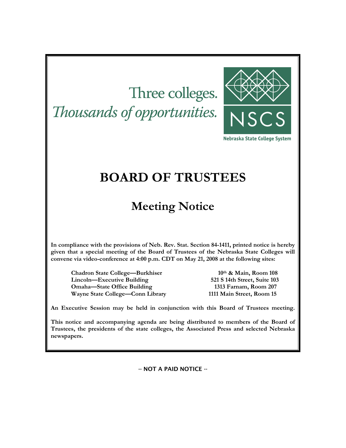# Three colleges. Thousands of opportunities.



Nebraska State College System

## **BOARD OF TRUSTEES**

## **Meeting Notice**

**In compliance with the provisions of Neb. Rev. Stat. Section 84-1411, printed notice is hereby given that a special meeting of the Board of Trustees of the Nebraska State Colleges will convene via video-conference at 4:00 p.m. CDT on May 21, 2008 at the following sites:** 

Chadron State College—Burkhiser 10<sup>th</sup> & Main, Room 108 **Lincoln—Executive Building 521 S 14th Street, Suite 103 Omaha—State Office Building 1313 Farnam, Room 207 Wayne State College—Conn Library 1111 Main Street, Room 15** 

**An Executive Session may be held in conjunction with this Board of Trustees meeting.** 

**This notice and accompanying agenda are being distributed to members of the Board of Trustees, the presidents of the state colleges, the Associated Press and selected Nebraska newspapers.** 

-- NOT A PAID NOTICE --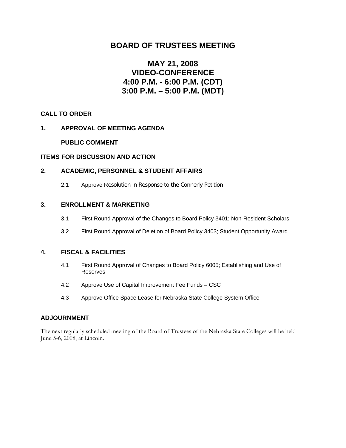## **BOARD OF TRUSTEES MEETING**

## **MAY 21, 2008 VIDEO-CONFERENCE 4:00 P.M. - 6:00 P.M. (CDT) 3:00 P.M. – 5:00 P.M. (MDT)**

#### **CALL TO ORDER**

#### **1. APPROVAL OF MEETING AGENDA**

#### **PUBLIC COMMENT**

#### **ITEMS FOR DISCUSSION AND ACTION**

#### **2. ACADEMIC, PERSONNEL & STUDENT AFFAIRS**

2.1 Approve Resolution in Response to the Connerly Petition

#### **3. ENROLLMENT & MARKETING**

- 3.1 First Round Approval of the Changes to Board Policy 3401; Non-Resident Scholars
- 3.2 First Round Approval of Deletion of Board Policy 3403; Student Opportunity Award

#### **4. FISCAL & FACILITIES**

- 4.1 First Round Approval of Changes to Board Policy 6005; Establishing and Use of Reserves
- 4.2 Approve Use of Capital Improvement Fee Funds CSC
- 4.3 Approve Office Space Lease for Nebraska State College System Office

#### **ADJOURNMENT**

The next regularly scheduled meeting of the Board of Trustees of the Nebraska State Colleges will be held June 5-6, 2008, at Lincoln.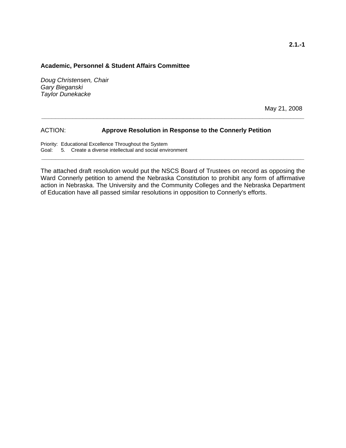#### **Academic, Personnel & Student Affairs Committee**

*Doug Christensen, Chair Gary Bieganski Taylor Dunekacke* 

May 21, 2008

#### ACTION: **Approve Resolution in Response to the Connerly Petition**

Priority: Educational Excellence Throughout the System Goal: 5. Create a diverse intellectual and social environment

The attached draft resolution would put the NSCS Board of Trustees on record as opposing the Ward Connerly petition to amend the Nebraska Constitution to prohibit any form of affirmative action in Nebraska. The University and the Community Colleges and the Nebraska Department of Education have all passed similar resolutions in opposition to Connerly's efforts.

**\_\_\_\_\_\_\_\_\_\_\_\_\_\_\_\_\_\_\_\_\_\_\_\_\_\_\_\_\_\_\_\_\_\_\_\_\_\_\_\_\_\_\_\_\_\_\_\_\_\_\_\_\_\_\_\_\_\_\_\_\_\_\_\_\_\_\_\_\_\_\_\_\_\_\_\_** 

**\_\_\_\_\_\_\_\_\_\_\_\_\_\_\_\_\_\_\_\_\_\_\_\_\_\_\_\_\_\_\_\_\_\_\_\_\_\_\_\_\_\_\_\_\_\_\_\_\_\_\_\_\_\_\_\_\_\_\_\_\_\_\_\_\_\_\_\_\_\_\_\_\_\_\_\_**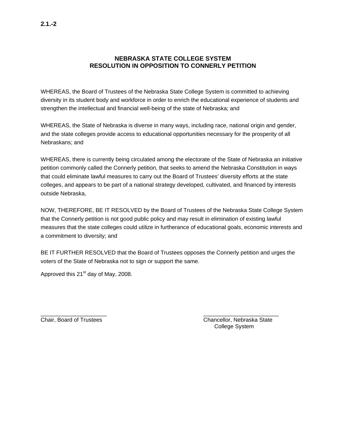#### **NEBRASKA STATE COLLEGE SYSTEM RESOLUTION IN OPPOSITION TO CONNERLY PETITION**

WHEREAS, the Board of Trustees of the Nebraska State College System is committed to achieving diversity in its student body and workforce in order to enrich the educational experience of students and strengthen the intellectual and financial well-being of the state of Nebraska; and

WHEREAS, the State of Nebraska is diverse in many ways, including race, national origin and gender, and the state colleges provide access to educational opportunities necessary for the prosperity of all Nebraskans; and

WHEREAS, there is currently being circulated among the electorate of the State of Nebraska an initiative petition commonly called the Connerly petition, that seeks to amend the Nebraska Constitution in ways that could eliminate lawful measures to carry out the Board of Trustees' diversity efforts at the state colleges, and appears to be part of a national strategy developed, cultivated, and financed by interests outside Nebraska,

NOW, THEREFORE, BE IT RESOLVED by the Board of Trustees of the Nebraska State College System that the Connerly petition is not good public policy and may result in elimination of existing lawful measures that the state colleges could utilize in furtherance of educational goals, economic interests and a commitment to diversity; and

BE IT FURTHER RESOLVED that the Board of Trustees opposes the Connerly petition and urges the voters of the State of Nebraska not to sign or support the same.

Approved this  $21<sup>st</sup>$  day of May, 2008.

 $\frac{1}{2}$  ,  $\frac{1}{2}$  ,  $\frac{1}{2}$  ,  $\frac{1}{2}$  ,  $\frac{1}{2}$  ,  $\frac{1}{2}$  ,  $\frac{1}{2}$  ,  $\frac{1}{2}$  ,  $\frac{1}{2}$  ,  $\frac{1}{2}$  ,  $\frac{1}{2}$  ,  $\frac{1}{2}$  ,  $\frac{1}{2}$  ,  $\frac{1}{2}$  ,  $\frac{1}{2}$  ,  $\frac{1}{2}$  ,  $\frac{1}{2}$  ,  $\frac{1}{2}$  ,  $\frac{1$ 

Chair, Board of Trustees Chancellor, Nebraska State College System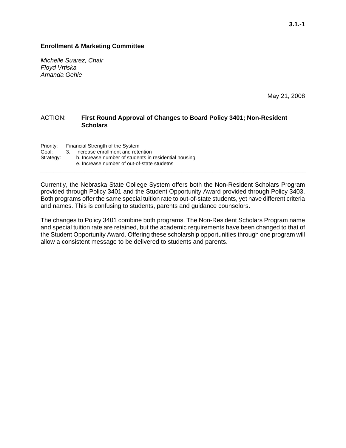#### **Enrollment & Marketing Committee**

*Michelle Suarez, Chair Floyd Vrtiska Amanda Gehle* 

May 21, 2008

#### ACTION: **First Round Approval of Changes to Board Policy 3401; Non-Resident Scholars**

**\_\_\_\_\_\_\_\_\_\_\_\_\_\_\_\_\_\_\_\_\_\_\_\_\_\_\_\_\_\_\_\_\_\_\_\_\_\_\_\_\_\_\_\_\_\_\_\_\_\_\_\_\_\_\_\_\_\_\_\_\_\_\_\_\_\_\_\_\_\_\_\_\_\_\_\_\_\_\_** 

Priority: Financial Strength of the System Goal: 3. Increase enrollment and retention Strategy: b. Increase number of students in residential housing e. Increase number of out-of-state studetns

Currently, the Nebraska State College System offers both the Non-Resident Scholars Program provided through Policy 3401 and the Student Opportunity Award provided through Policy 3403. Both programs offer the same special tuition rate to out-of-state students, yet have different criteria and names. This is confusing to students, parents and guidance counselors.

**\_\_\_\_\_\_\_\_\_\_\_\_\_\_\_\_\_\_\_\_\_\_\_\_\_\_\_\_\_\_\_\_\_\_\_\_\_\_\_\_\_\_\_\_\_\_\_\_\_\_\_\_\_\_\_\_\_\_\_\_\_\_\_\_\_\_\_\_\_\_\_\_\_\_\_\_\_** 

The changes to Policy 3401 combine both programs. The Non-Resident Scholars Program name and special tuition rate are retained, but the academic requirements have been changed to that of the Student Opportunity Award. Offering these scholarship opportunities through one program will allow a consistent message to be delivered to students and parents.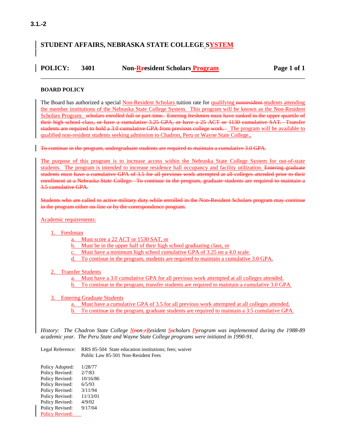## **STUDENT AFFAIRS, NEBRASKA STATE COLLEGE SYSTEM**

### **POLICY:** 3401 Non-Rresident Scholars Program Page 1 of 1 \_\_\_\_\_\_\_\_\_\_\_\_\_\_\_\_\_\_\_\_\_\_\_\_\_\_\_\_\_\_\_\_\_\_\_\_\_\_\_\_\_\_\_\_\_\_\_\_\_\_\_\_\_\_\_\_\_\_\_\_\_\_\_\_\_\_\_\_\_\_\_\_\_\_\_\_\_\_

#### **BOARD POLICY**

The Board has authorized a special Non-Resident Scholars tuition rate for qualifying nonresident students attending the member institutions of the Nebraska State College System. This program will be known as the Non-Resident Scholars Program. scholars enrolled full or part-time. Entering freshmen must have ranked in the upper quartile of their high school class, or have a cumulative 3.25 GPA, or have a 25 ACT or 1130 cumulative SAT. Transfer students are required to hold a 3.0 cumulative GPA from previous college work. The program will be available to qualified non-resident students seeking admission to Chadron, Peru or Wayne State College.,

To continue in the program, undergraduate students are required to maintain a cumulative 3.0 GPA.

The purpose of this program is to increase access within the Nebraska State College System for out-of-state students. The program is intended to increase residence hall occupancy and facility utilization. Entering graduate students must have a cumulative GPA of 3.5 for all previous work attempted at all colleges attended prior to their enrollment at a Nebraska State College. To continue in the program, graduate students are required to maintain a 3.5 cumulative GPA.

Students who are called to active military duty while enrolled in the Non-Resident Scholars program may continue in the program either on-line or by the correspondence program.

Academic requirements:

- 1. Freshman
	- a. Must score a 22 ACT or 1530 SAT, or
	- b. Must be in the upper half of their high school graduating class, or
	- c. Must have a minimum high school cumulative GPA of 3.25 on a 4.0 scale.
	- d. To continue in the program, students are required to maintain a cumulative 3.0 GPA.

#### 2. Transfer Students

- a. Must have a 3.0 cumulative GPA for all previous work attempted at all colleges attended. b. To continue in the program, transfer students are required to maintain a cumulative 3.0 GPA.
- 3. Entering Graduate Students
	- Must have a cumulative GPA of 3.5 for all previous work attempted at all colleges attended. b. To continue in the program, graduate students are required to maintain a 3.5 cumulative GPA.

History: The Chadron State College N<sub>Hon-F</sub>Resident S<sub>p</sub>scholars P<sub>program</sub> was implemented during the 1988-89 *academic year. The Peru State and Wayne State College programs were initiated in 1990-91.*

Legal Reference: RRS 85-504 State education institutions; fees; waiver Public Law 85-501 Non-Resident Fees

Policy Adopted: 1/28/77 Policy Revised: 2/7/83 Policy Revised: 10/16/86 Policy Revised: 6/5/93 Policy Revised: 3/11/94 Policy Revised: 11/13/01 Policy Revised: 4/9/02<br>Policy Revised: 9/17/04 Policy Revised: Policy Revised: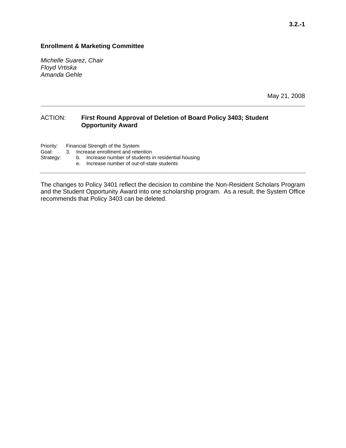#### **Enrollment & Marketing Committee**

*Michelle Suarez, Chair Floyd Vrtiska Amanda Gehle* 

May 21, 2008

#### ACTION: **First Round Approval of Deletion of Board Policy 3403; Student Opportunity Award**

Priority: Financial Strength of the System<br>Goal: 3. Increase enrollment and rete

3. Increase enrollment and retention

Strategy: b. Increase number of students in residential housing

e. Increase number of out-of-state students

The changes to Policy 3401 reflect the decision to combine the Non-Resident Scholars Program and the Student Opportunity Award into one scholarship program. As a result, the System Office recommends that Policy 3403 can be deleted.

**\_\_\_\_\_\_\_\_\_\_\_\_\_\_\_\_\_\_\_\_\_\_\_\_\_\_\_\_\_\_\_\_\_\_\_\_\_\_\_\_\_\_\_\_\_\_\_\_\_\_\_\_\_\_\_\_\_\_\_\_\_\_\_\_\_\_\_\_\_\_\_\_\_\_\_\_\_** 

**\_\_\_\_\_\_\_\_\_\_\_\_\_\_\_\_\_\_\_\_\_\_\_\_\_\_\_\_\_\_\_\_\_\_\_\_\_\_\_\_\_\_\_\_\_\_\_\_\_\_\_\_\_\_\_\_\_\_\_\_\_\_\_\_\_\_\_\_\_\_\_\_\_\_\_\_\_\_\_**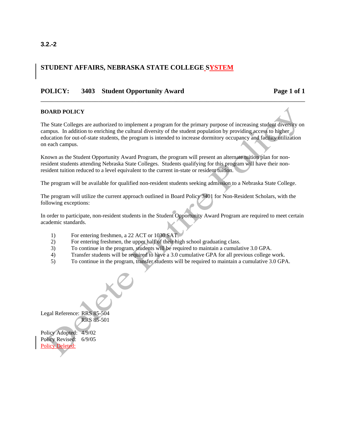#### **3.2.-2**

### **STUDENT AFFAIRS, NEBRASKA STATE COLLEGE SYSTEM**

#### POLICY: 3403 Student Opportunity Award Page 1 of 1

#### **BOARD POLICY**

The State Colleges are authorized to implement a program for the primary purpose of increasing student diversity on campus. In addition to enriching the cultural diversity of the student population by providing access to higher education for out-of-state students, the program is intended to increase dormitory occupancy and facility utilization on each campus.

\_\_\_\_\_\_\_\_\_\_\_\_\_\_\_\_\_\_\_\_\_\_\_\_\_\_\_\_\_\_\_\_\_\_\_\_\_\_\_\_\_\_\_\_\_\_\_\_\_\_\_\_\_\_\_\_\_\_\_\_\_\_\_\_\_\_\_\_\_\_\_\_\_\_\_\_\_\_

Known as the Student Opportunity Award Program, the program will present an alternate tuition plan for nonresident students attending Nebraska State Colleges. Students qualifying for this program will have their nonresident tuition reduced to a level equivalent to the current in-state or resident tuition.

The program will be available for qualified non-resident students seeking admission to a Nebraska State College.

The program will utilize the current approach outlined in Board Policy 3401 for Non-Resident Scholars, with the following exceptions:

In order to participate, non-resident students in the Student Opportunity Award Program are required to meet certain academic standards.

- 1) For entering freshmen, a 22 ACT or 1030 SAT.
- 2) For entering freshmen, the upper half of their high school graduating class.
- 3) To continue in the program, students will be required to maintain a cumulative 3.0 GPA.
- 4) Transfer students will be required to have a 3.0 cumulative GPA for all previous college work.
- 5) To continue in the program, transfer students will be required to maintain a cumulative 3.0 GPA.

Legal Reference: RRS 85-504 RRS 85-501

Policy Adopted: 4/9/02 Policy Revised: 6/9/05 Policy Deleted: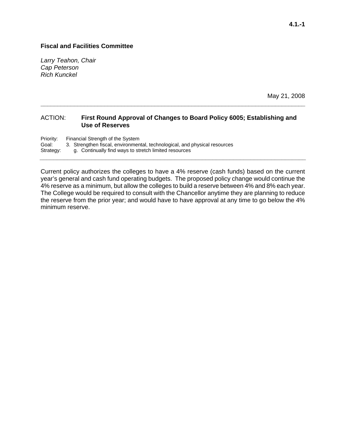#### **Fiscal and Facilities Committee**

*Larry Teahon, Chair Cap Peterson Rich Kunckel* 

May 21, 2008

#### ACTION: **First Round Approval of Changes to Board Policy 6005; Establishing and Use of Reserves**

**\_\_\_\_\_\_\_\_\_\_\_\_\_\_\_\_\_\_\_\_\_\_\_\_\_\_\_\_\_\_\_\_\_\_\_\_\_\_\_\_\_\_\_\_\_\_\_\_\_\_\_\_\_\_\_\_\_\_\_\_\_\_\_\_\_\_\_\_\_\_\_\_\_\_\_\_\_\_\_** 

Priority: Financial Strength of the System Goal: 3. Strengthen fiscal, environmental, technological, and physical resources Strategy: g. Continually find ways to stretch limited resources **\_\_\_\_\_\_\_\_\_\_\_\_\_\_\_\_\_\_\_\_\_\_\_\_\_\_\_\_\_\_\_\_\_\_\_\_\_\_\_\_\_\_\_\_\_\_\_\_\_\_\_\_\_\_\_\_\_\_\_\_\_\_\_\_\_\_\_\_\_\_\_\_\_\_\_\_\_** 

Current policy authorizes the colleges to have a 4% reserve (cash funds) based on the current year's general and cash fund operating budgets. The proposed policy change would continue the 4% reserve as a minimum, but allow the colleges to build a reserve between 4% and 8% each year. The College would be required to consult with the Chancellor anytime they are planning to reduce the reserve from the prior year; and would have to have approval at any time to go below the 4% minimum reserve.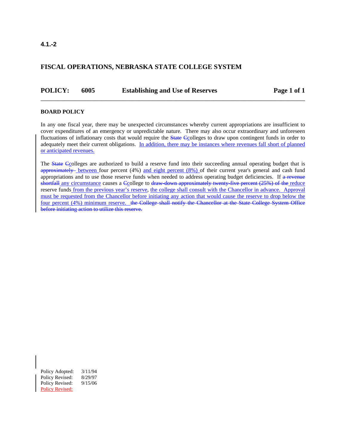#### **4.1.-2**

#### **FISCAL OPERATIONS, NEBRASKA STATE COLLEGE SYSTEM**

**POLICY:** 6005 Establishing and Use of Reserves Page 1 of 1

#### **BOARD POLICY**

In any one fiscal year, there may be unexpected circumstances whereby current appropriations are insufficient to cover expenditures of an emergency or unpredictable nature. There may also occur extraordinary and unforeseen fluctuations of inflationary costs that would require the State Ccolleges to draw upon contingent funds in order to adequately meet their current obligations. In addition, there may be instances where revenues fall short of planned or anticipated revenues.

\_\_\_\_\_\_\_\_\_\_\_\_\_\_\_\_\_\_\_\_\_\_\_\_\_\_\_\_\_\_\_\_\_\_\_\_\_\_\_\_\_\_\_\_\_\_\_\_\_\_\_\_\_\_\_\_\_\_\_\_\_\_\_\_\_\_\_\_\_\_\_\_\_\_\_\_\_\_

The **State Ccolleges** are authorized to build a reserve fund into their succeeding annual operating budget that is approximately between four percent (4%) and eight percent (8%) of their current year's general and cash fund appropriations and to use those reserve funds when needed to address operating budget deficiencies. If a revenue shortfall any circumstance causes a Gcollege to draw-down approximately twenty-five percent (25%) of the reduce reserve funds from the previous year's reserve, the college shall consult with the Chancellor in advance. Approval must be requested from the Chancellor before initiating any action that would cause the reserve to drop below the four percent (4%) minimum reserve. the College shall notify the Chancellor at the State College System Office before initiating action to utilize this reserve.

Policy Adopted: 3/11/94 Policy Revised: 8/29/97 Policy Revised: 9/15/06 Policy Revised: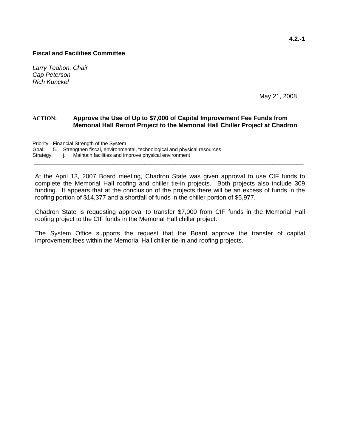#### **Fiscal and Facilities Committee**

*Larry Teahon, Chair Cap Peterson Rich Kunckel* 

May 21, 2008

#### **ACTION: Approve the Use of Up to \$7,000 of Capital Improvement Fee Funds from Memorial Hall Reroof Project to the Memorial Hall Chiller Project at Chadron**

**\_\_\_\_\_\_\_\_\_\_\_\_\_\_\_\_\_\_\_\_\_\_\_\_\_\_\_\_\_\_\_\_\_\_\_\_\_\_\_\_\_\_\_\_\_\_\_\_\_\_\_\_\_\_\_\_\_\_\_\_\_\_\_\_\_\_\_\_\_\_\_\_\_\_\_\_** 

Priority: Financial Strength of the System Goal: 5. Strengthen fiscal, environmental, technological and physical resources Strategy: j. Maintain facilities and improve physical environment

At the April 13, 2007 Board meeting, Chadron State was given approval to use CIF funds to complete the Memorial Hall roofing and chiller tie-in projects. Both projects also include 309 funding. It appears that at the conclusion of the projects there will be an excess of funds in the roofing portion of \$14,377 and a shortfall of funds in the chiller portion of \$5,977.

**\_\_\_\_\_\_\_\_\_\_\_\_\_\_\_\_\_\_\_\_\_\_\_\_\_\_\_\_\_\_\_\_\_\_\_\_\_\_\_\_\_\_\_\_\_\_\_\_\_\_\_\_\_\_\_\_\_\_\_\_\_\_\_\_\_\_\_\_\_\_\_\_\_\_\_\_\_\_** 

Chadron State is requesting approval to transfer \$7,000 from CIF funds in the Memorial Hall roofing project to the CIF funds in the Memorial Hall chiller project.

The System Office supports the request that the Board approve the transfer of capital improvement fees within the Memorial Hall chiller tie-in and roofing projects.